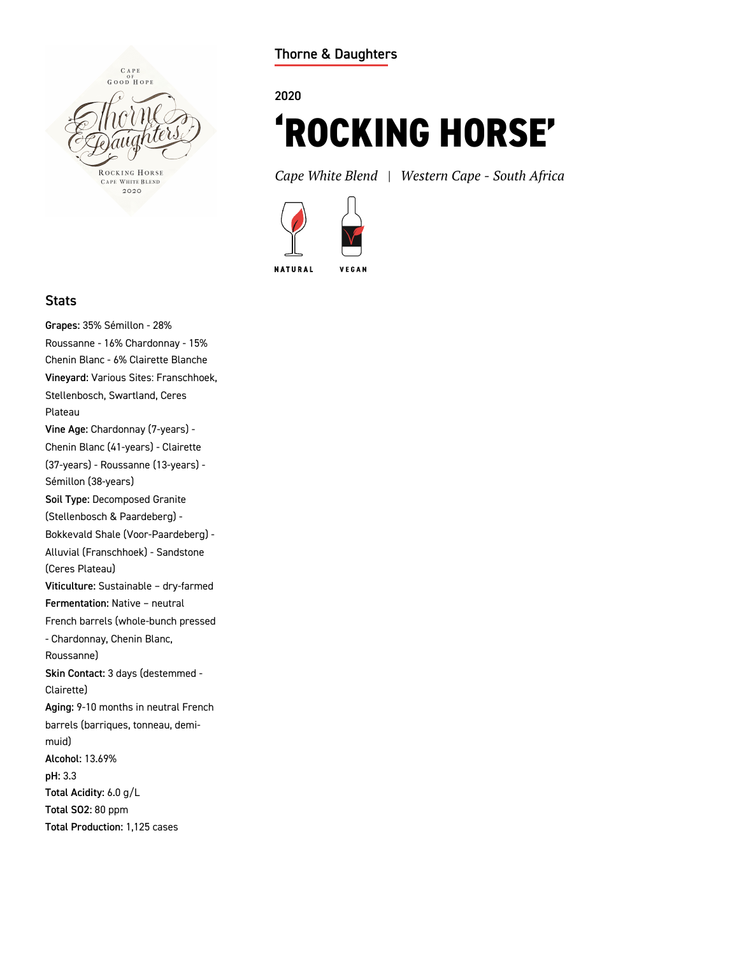

**Thorne & Daughters**

## **2020**

# **'ROCKING HORSE'**

*Cape White Blend | Western Cape - South Africa*



#### **Stats**

**Grapes:** 35% Sémillon - 28% Roussanne - 16% Chardonnay - 15% Chenin Blanc - 6% Clairette Blanche **Vineyard:** Various Sites: Franschhoek, Stellenbosch, Swartland, Ceres Plateau **Vine Age:** Chardonnay (7-years) - Chenin Blanc (41-years) - Clairette (37-years) - Roussanne (13-years) - Sémillon (38-years) **Soil Type:** Decomposed Granite (Stellenbosch & Paardeberg) - Bokkevald Shale (Voor-Paardeberg) - Alluvial (Franschhoek) - Sandstone (Ceres Plateau) **Viticulture:** Sustainable – dry-farmed **Fermentation:** Native – neutral French barrels (whole-bunch pressed - Chardonnay, Chenin Blanc, Roussanne) **Skin Contact:** 3 days (destemmed - Clairette) **Aging:** 9-10 months in neutral French barrels (barriques, tonneau, demimuid) **Alcohol:** 13.69% **pH:** 3.3 **Total Acidity:** 6.0 g/L **Total SO2:** 80 ppm **Total Production:** 1,125 cases